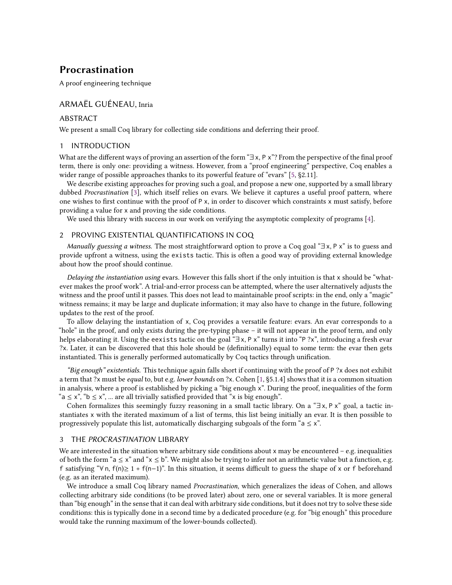# **Procrastination**

A proof engineering technique

## ARMAËL GUÉNEAU, Inria

## ABSTRACT

We present a small Coq library for collecting side conditions and deferring their proof.

### 1 INTRODUCTION

What are the different ways of proving an assertion of the form "∃ x, P x"? From the perspective of the final proof term, there is only one: providing a witness. However, from a "proof engineering" perspective, Coq enables a wider range of possible approaches thanks to its powerful feature of "evars" [[5](#page-1-0), §2.11].

We describe existing approaches for proving such a goal, and propose a new one, supported by a small library dubbed *Procrastination* [\[3\]](#page-1-1), which itself relies on evars. We believe it captures a useful proof pattern, where one wishes to first continue with the proof of P x, in order to discover which constraints x must satisfy, before providing a value for x and proving the side conditions.

We used this library with success in our work on verifying the asymptotic complexity of programs [[4](#page-1-2)].

## 2 PROVING EXISTENTIAL QUANTIFICATIONS IN COQ

*Manually guessing a witness.* The most straightforward option to prove a Coq goal "∃ x, P x" is to guess and provide upfront a witness, using the exists tactic. This is often a good way of providing external knowledge about how the proof should continue.

*Delaying the instantiation using* evars*.* However this falls short if the only intuition is that x should be "whatever makes the proof work". A trial-and-error process can be attempted, where the user alternatively adjusts the witness and the proof until it passes. This does not lead to maintainable proof scripts: in the end, only a "magic" witness remains; it may be large and duplicate information; it may also have to change in the future, following updates to the rest of the proof.

To allow delaying the instantiation of x, Coq provides a versatile feature: evars. An evar corresponds to a "hole" in the proof, and only exists during the pre-typing phase – it will not appear in the proof term, and only helps elaborating it. Using the eexists tactic on the goal "∃ x, P x" turns it into "P ?x", introducing a fresh evar ?x. Later, it can be discovered that this hole should be (definitionally) equal to some term: the evar then gets instantiated. This is generally performed automatically by Coq tactics through unification.

*"Big enough" existentials.* This technique again falls short if continuing with the proof of P ?x does not exhibit a term that ?x must be *equal* to, but e.g. *lower bounds* on ?x. Cohen [[1](#page-1-3), §5.1.4] shows that it is a common situation in analysis, where a proof is established by picking a "big enough x". During the proof, inequalities of the form " $a \le x$ ", " $b \le x$ ", ... are all trivially satisfied provided that "x is big enough".

Cohen formalizes this seemingly fuzzy reasoning in a small tactic library. On a "∃ x, P x" goal, a tactic instantiates x with the iterated maximum of a list of terms, this list being initially an evar. It is then possible to progressively populate this list, automatically discharging subgoals of the form " $a \leq x$ ".

#### 3 THE *PROCRASTINATION* LIBRARY

We are interested in the situation where arbitrary side conditions about  $x$  may be encountered – e.g. inequalities of both the form "a  $\leq$  x" and "x  $\leq$  b". We might also be trying to infer not an arithmetic value but a function, e.g. f satisfying "∀ n, f(n)≥ 1 + f(n-1)". In this situation, it seems difficult to guess the shape of x or f beforehand (e.g. as an iterated maximum).

We introduce a small Coq library named *Procrastination*, which generalizes the ideas of Cohen, and allows collecting arbitrary side conditions (to be proved later) about zero, one or several variables. It is more general than "big enough" in the sense that it can deal with arbitrary side conditions, but it does not try to solve these side conditions: this is typically done in a second time by a dedicated procedure (e.g. for "big enough" this procedure would take the running maximum of the lower-bounds collected).